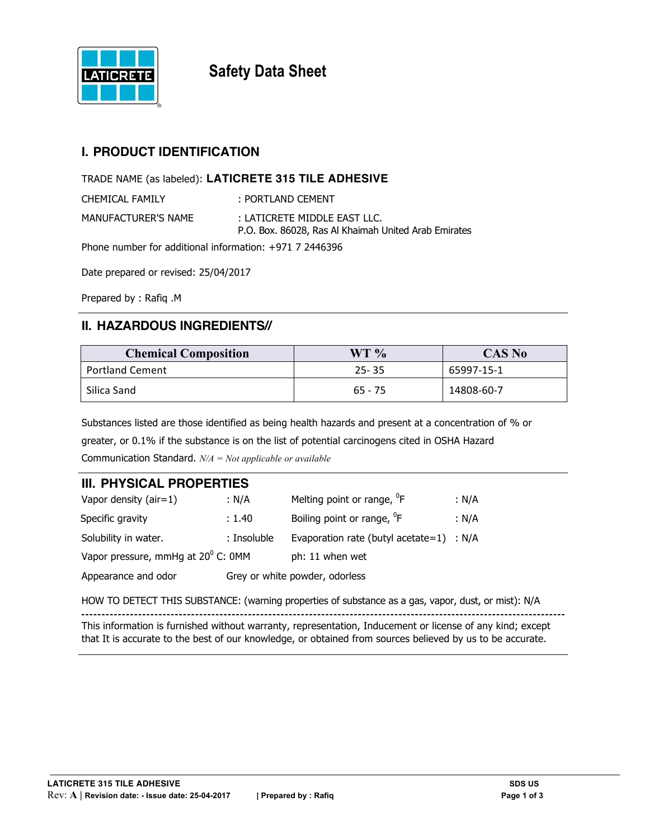

**Safety Data Sheet**

## **I. PRODUCT IDENTIFICATION**

TRADE NAME (as labeled): **LATICRETE 315 TILE ADHESIVE**

| <b>CHEMICAL FAMILY</b> | : PORTLAND CEMENT                                                                    |
|------------------------|--------------------------------------------------------------------------------------|
| MANUFACTURER'S NAME    | : LATICRETE MIDDLE EAST LLC.<br>P.O. Box, 86028, Ras Al Khaimah United Arab Emirates |

Phone number for additional information: +971 7 2446396

Date prepared or revised: 25/04/2017

Prepared by : Rafiq .M

## **II. HAZARDOUS INGREDIENTS//**

| <b>Chemical Composition</b> | WT %      | <b>CAS No</b> |
|-----------------------------|-----------|---------------|
| <b>Portland Cement</b>      | $25 - 35$ | 65997-15-1    |
| Silica Sand                 | $65 - 75$ | 14808-60-7    |

Substances listed are those identified as being health hazards and present at a concentration of % or greater, or 0.1% if the substance is on the list of potential carcinogens cited in OSHA Hazard Communication Standard. *N/A = Not applicable or available*

### **III. PHYSICAL PROPERTIES**

| Vapor density ( $air=1$ )                   | : N/A       | Melting point or range, <sup>o</sup> F     | : N/A |
|---------------------------------------------|-------------|--------------------------------------------|-------|
| Specific gravity                            | : 1.40      | Boiling point or range, <sup>0</sup> F     | : N/A |
| Solubility in water.                        | : Insoluble | Evaporation rate (butyl acetate=1) : $N/A$ |       |
| Vapor pressure, mmHq at $20^{\circ}$ C: 0MM |             | ph: 11 when wet                            |       |
| Appearance and odor                         |             | Grey or white powder, odorless             |       |

HOW TO DETECT THIS SUBSTANCE: (warning properties of substance as a gas, vapor, dust, or mist): N/A

This information is furnished without warranty, representation, Inducement or license of any kind; except that It is accurate to the best of our knowledge, or obtained from sources believed by us to be accurate.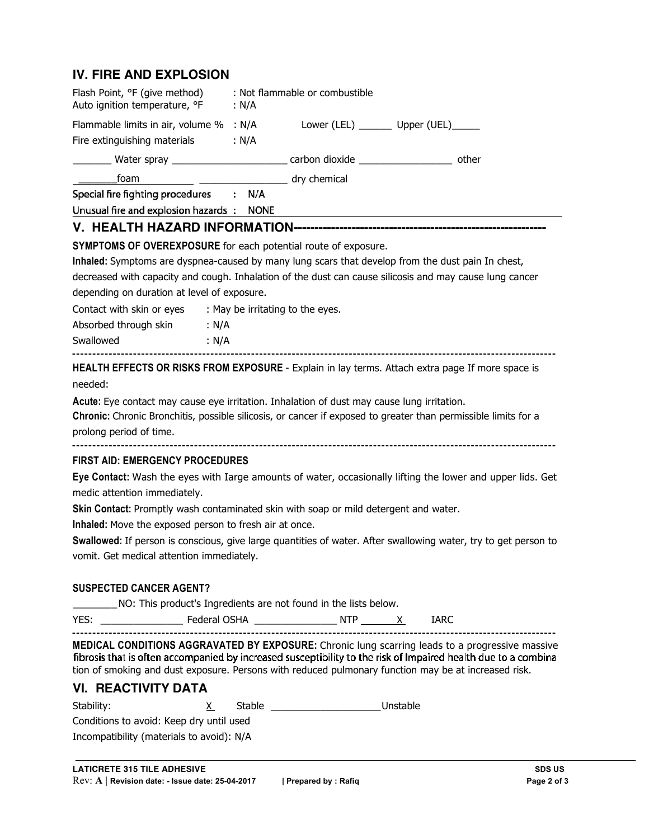## **IV. FIRE AND EXPLOSION**

| Flash Point, °F (give method)<br>Auto ignition temperature, °F    | : Not flammable or combustible<br>: N/A                                                                                                                                                                                                                                                                                          |
|-------------------------------------------------------------------|----------------------------------------------------------------------------------------------------------------------------------------------------------------------------------------------------------------------------------------------------------------------------------------------------------------------------------|
|                                                                   | Flammable limits in air, volume % : N/A Lower (LEL) _______ Upper (UEL) _____                                                                                                                                                                                                                                                    |
| Fire extinguishing materials                                      | : N/A                                                                                                                                                                                                                                                                                                                            |
|                                                                   | other<br>__________ Water spray _________________________ carbon dioxide ________________                                                                                                                                                                                                                                        |
| ___________foam                                                   | dry chemical                                                                                                                                                                                                                                                                                                                     |
| Special fire fighting procedures : N/A                            |                                                                                                                                                                                                                                                                                                                                  |
| Unusual fire and explosion hazards: NONE                          |                                                                                                                                                                                                                                                                                                                                  |
|                                                                   |                                                                                                                                                                                                                                                                                                                                  |
|                                                                   | SYMPTOMS OF OVEREXPOSURE for each potential route of exposure.                                                                                                                                                                                                                                                                   |
|                                                                   | Inhaled: Symptoms are dyspnea-caused by many lung scars that develop from the dust pain In chest,                                                                                                                                                                                                                                |
|                                                                   | decreased with capacity and cough. Inhalation of the dust can cause silicosis and may cause lung cancer                                                                                                                                                                                                                          |
| depending on duration at level of exposure.                       |                                                                                                                                                                                                                                                                                                                                  |
| Contact with skin or eyes : May be irritating to the eyes.        |                                                                                                                                                                                                                                                                                                                                  |
| Absorbed through skin : N/A                                       |                                                                                                                                                                                                                                                                                                                                  |
| Swallowed: : N/A                                                  |                                                                                                                                                                                                                                                                                                                                  |
| prolong period of time.<br><b>FIRST AID: EMERGENCY PROCEDURES</b> | Chronic: Chronic Bronchitis, possible silicosis, or cancer if exposed to greater than permissible limits for a<br>Eye Contact: Wash the eyes with Iarge amounts of water, occasionally lifting the lower and upper lids. Get                                                                                                     |
| medic attention immediately.                                      | Skin Contact: Promptly wash contaminated skin with soap or mild detergent and water.                                                                                                                                                                                                                                             |
| Inhaled: Move the exposed person to fresh air at once.            |                                                                                                                                                                                                                                                                                                                                  |
| vomit. Get medical attention immediately.                         | Swallowed: If person is conscious, give large quantities of water. After swallowing water, try to get person to                                                                                                                                                                                                                  |
| <b>SUSPECTED CANCER AGENT?</b>                                    |                                                                                                                                                                                                                                                                                                                                  |
|                                                                   | ____________ NO: This product's Ingredients are not found in the lists below.                                                                                                                                                                                                                                                    |
|                                                                   | <b>IARC</b>                                                                                                                                                                                                                                                                                                                      |
|                                                                   | <b>MEDICAL CONDITIONS AGGRAVATED BY EXPOSURE:</b> Chronic lung scarring leads to a progressive massive<br>fibrosis that is often accompanied by increased susceptibility to the risk of Impaired health due to a combina<br>tion of smoking and dust exposure. Persons with reduced pulmonary function may be at increased risk. |
| <b>VI. REACTIVITY DATA</b>                                        |                                                                                                                                                                                                                                                                                                                                  |
| Stability:<br>X.                                                  | Stable ______________________Unstable                                                                                                                                                                                                                                                                                            |
| Conditions to avoid: Keep dry until used                          |                                                                                                                                                                                                                                                                                                                                  |
| Incompatibility (materials to avoid): N/A                         |                                                                                                                                                                                                                                                                                                                                  |